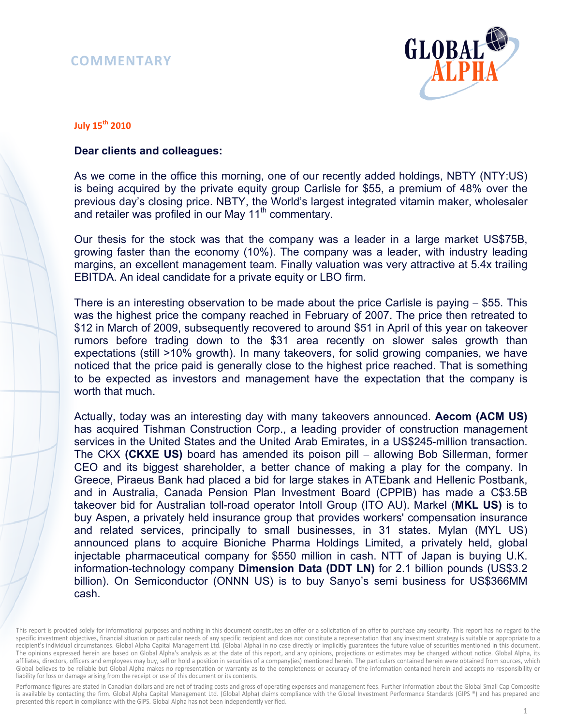## **COMMENTARY**



## **July 15th 2010**

## **Dear clients and colleagues:**

As we come in the office this morning, one of our recently added holdings, NBTY (NTY:US) is being acquired by the private equity group Carlisle for \$55, a premium of 48% over the previous day's closing price. NBTY, the World's largest integrated vitamin maker, wholesaler and retailer was profiled in our May  $11<sup>th</sup>$  commentary.

Our thesis for the stock was that the company was a leader in a large market US\$75B, growing faster than the economy (10%). The company was a leader, with industry leading margins, an excellent management team. Finally valuation was very attractive at 5.4x trailing EBITDA. An ideal candidate for a private equity or LBO firm.

There is an interesting observation to be made about the price Carlisle is paying – \$55. This was the highest price the company reached in February of 2007. The price then retreated to \$12 in March of 2009, subsequently recovered to around \$51 in April of this year on takeover rumors before trading down to the \$31 area recently on slower sales growth than expectations (still >10% growth). In many takeovers, for solid growing companies, we have noticed that the price paid is generally close to the highest price reached. That is something to be expected as investors and management have the expectation that the company is worth that much.

Actually, today was an interesting day with many takeovers announced. **Aecom (ACM US)**  has acquired Tishman Construction Corp., a leading provider of construction management services in the United States and the United Arab Emirates, in a US\$245-million transaction. The CKX **(CKXE US)** board has amended its poison pill – allowing Bob Sillerman, former CEO and its biggest shareholder, a better chance of making a play for the company. In Greece, Piraeus Bank had placed a bid for large stakes in ATEbank and Hellenic Postbank, and in Australia, Canada Pension Plan Investment Board (CPPIB) has made a C\$3.5B takeover bid for Australian toll-road operator Intoll Group (ITO AU). Markel (**MKL US)** is to buy Aspen, a privately held insurance group that provides workers' compensation insurance and related services, principally to small businesses, in 31 states. Mylan (MYL US) announced plans to acquire Bioniche Pharma Holdings Limited, a privately held, global injectable pharmaceutical company for \$550 million in cash. NTT of Japan is buying U.K. information-technology company **Dimension Data (DDT LN)** for 2.1 billion pounds (US\$3.2 billion). On Semiconductor (ONNN US) is to buy Sanyo's semi business for US\$366MM cash.

Performance figures are stated in Canadian dollars and are net of trading costs and gross of operating expenses and management fees. Further information about the Global Small Cap Composite is available by contacting the firm. Global Alpha Capital Management Ltd. (Global Alpha) claims compliance with the Global Investment Performance Standards (GIPS ®) and has prepared and presented this report in compliance with the GIPS. Global Alpha has not been independently verified.

This report is provided solely for informational purposes and nothing in this document constitutes an offer or a solicitation of an offer to purchase any security. This report has no regard to the specific investment objectives, financial situation or particular needs of any specific recipient and does not constitute a representation that any investment strategy is suitable or appropriate to a recipient's individual circumstances. Global Alpha Capital Management Ltd. (Global Alpha) in no case directly or implicitly guarantees the future value of securities mentioned in this document. The opinions expressed herein are based on Global Alpha's analysis as at the date of this report, and any opinions, projections or estimates may be changed without notice. Global Alpha, its affiliates, directors, officers and employees may buy, sell or hold a position in securities of a company(ies) mentioned herein. The particulars contained herein were obtained from sources, which Global believes to be reliable but Global Alpha makes no representation or warranty as to the completeness or accuracy of the information contained herein and accepts no responsibility or liability for loss or damage arising from the receipt or use of this document or its contents.